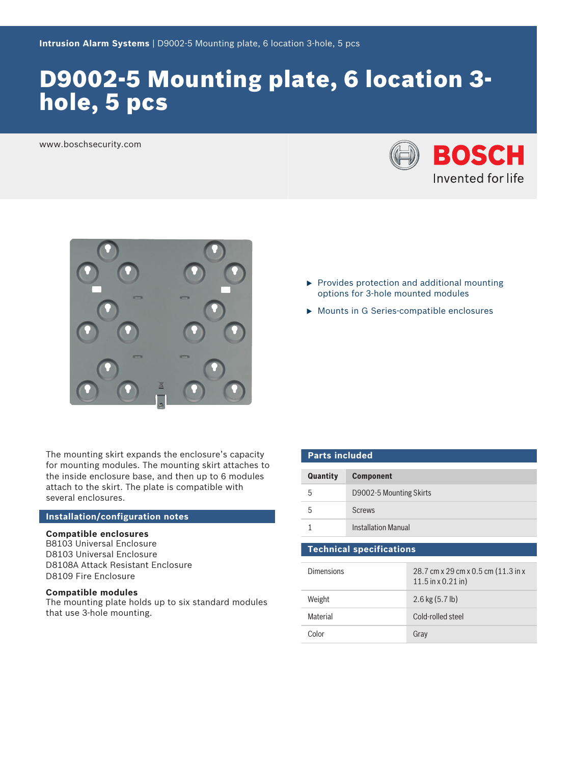# D9002-5 Mounting plate, 6 location 3 hole, 5 pcs

www.boschsecurity.com





The mounting skirt expands the enclosure's capacity for mounting modules. The mounting skirt attaches to the inside enclosure base, and then up to 6 modules attach to the skirt. The plate is compatible with several enclosures.

### **Installation/configuration notes**

# **Compatible enclosures**

B8103 Universal Enclosure D8103 Universal Enclosure D8108A Attack Resistant Enclosure D8109 Fire Enclosure

#### **Compatible modules**

The mounting plate holds up to six standard modules that use 3-hole mounting.

- $\blacktriangleright$  Provides protection and additional mounting options for 3-hole mounted modules
- $\triangleright$  Mounts in G Series-compatible enclosures

| <b>Parts included</b>           |                            |                                                      |
|---------------------------------|----------------------------|------------------------------------------------------|
| Quantity                        | <b>Component</b>           |                                                      |
| 5                               | D9002-5 Mounting Skirts    |                                                      |
| 5                               | <b>Screws</b>              |                                                      |
|                                 | <b>Installation Manual</b> |                                                      |
| <b>Technical specifications</b> |                            |                                                      |
| Dimonsions                      |                            | $20.7$ cm $v$ $20.0$ cm $v$ $0.5$ cm $(11.2)$ in $v$ |

| <b>Dimensions</b> | 28.7 cm x 29 cm x 0.5 cm (11.3 in x<br>$11.5$ in x 0.21 in) |
|-------------------|-------------------------------------------------------------|
| Weight            | $2.6$ kg $(5.7$ lb)                                         |
| Material          | Cold-rolled steel                                           |
| Color             | Gray                                                        |